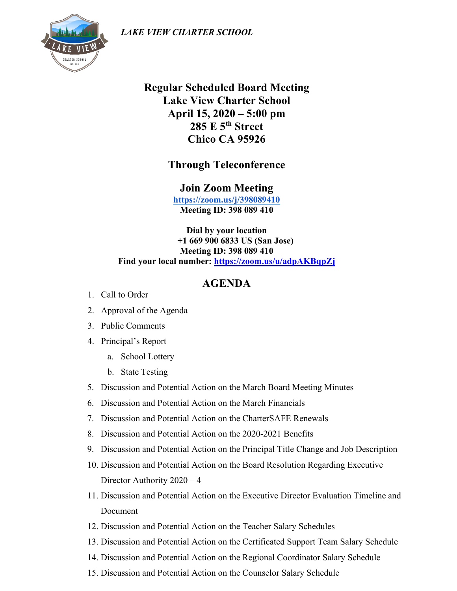*LAKE VIEW CHARTER SCHOOL*



**Regular Scheduled Board Meeting Lake View Charter School April 15, 2020 – 5:00 pm 285 E 5th Street Chico CA 95926**

**Through Teleconference** 

**Join Zoom Meeting <https://zoom.us/j/398089410> Meeting ID: 398 089 410**

**Dial by your location +1 669 900 6833 US (San Jose) Meeting ID: 398 089 410 Find your local number:<https://zoom.us/u/adpAKBqpZj>**

## **AGENDA**

- 1. Call to Order
- 2. Approval of the Agenda
- 3. Public Comments
- 4. Principal's Report
	- a. School Lottery
	- b. State Testing
- 5. Discussion and Potential Action on the March Board Meeting Minutes
- 6. Discussion and Potential Action on the March Financials
- 7. Discussion and Potential Action on the CharterSAFE Renewals
- 8. Discussion and Potential Action on the 2020-2021 Benefits
- 9. Discussion and Potential Action on the Principal Title Change and Job Description
- 10. Discussion and Potential Action on the Board Resolution Regarding Executive Director Authority 2020 – 4
- 11. Discussion and Potential Action on the Executive Director Evaluation Timeline and Document
- 12. Discussion and Potential Action on the Teacher Salary Schedules
- 13. Discussion and Potential Action on the Certificated Support Team Salary Schedule
- 14. Discussion and Potential Action on the Regional Coordinator Salary Schedule
- 15. Discussion and Potential Action on the Counselor Salary Schedule